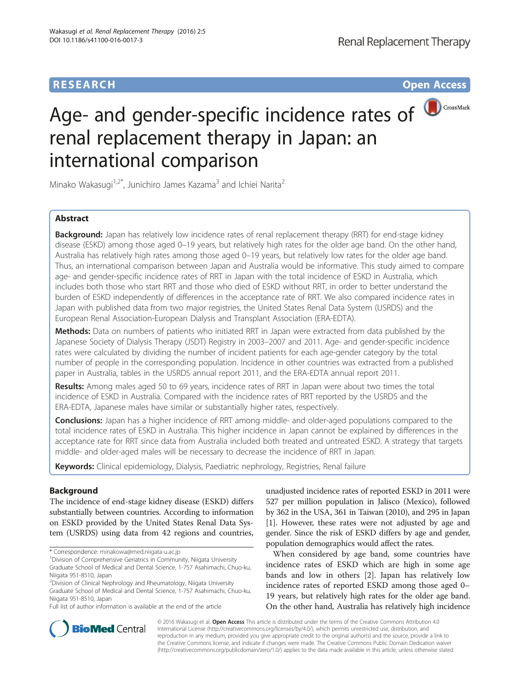# **RESEARCH RESEARCH** *CHECKER CHECKER CHECKER CHECKER CHECKER CHECKER CHECKER CHECKER CHECKER CHECKER CHECKER*



# Age- and gender-specific incidence rates of renal replacement therapy in Japan: an international comparison

Minako Wakasugi<sup>1,2\*</sup>, Junichiro James Kazama<sup>3</sup> and Ichiei Narita<sup>2</sup>

# Abstract

**Background:** Japan has relatively low incidence rates of renal replacement therapy (RRT) for end-stage kidney disease (ESKD) among those aged 0–19 years, but relatively high rates for the older age band. On the other hand, Australia has relatively high rates among those aged 0–19 years, but relatively low rates for the older age band. Thus, an international comparison between Japan and Australia would be informative. This study aimed to compare age- and gender-specific incidence rates of RRT in Japan with the total incidence of ESKD in Australia, which includes both those who start RRT and those who died of ESKD without RRT, in order to better understand the burden of ESKD independently of differences in the acceptance rate of RRT. We also compared incidence rates in Japan with published data from two major registries, the United States Renal Data System (USRDS) and the European Renal Association-European Dialysis and Transplant Association (ERA-EDTA).

Methods: Data on numbers of patients who initiated RRT in Japan were extracted from data published by the Japanese Society of Dialysis Therapy (JSDT) Registry in 2003–2007 and 2011. Age- and gender-specific incidence rates were calculated by dividing the number of incident patients for each age-gender category by the total number of people in the corresponding population. Incidence in other countries was extracted from a published paper in Australia, tables in the USRDS annual report 2011, and the ERA-EDTA annual report 2011.

Results: Among males aged 50 to 69 years, incidence rates of RRT in Japan were about two times the total incidence of ESKD in Australia. Compared with the incidence rates of RRT reported by the USRDS and the ERA-EDTA, Japanese males have similar or substantially higher rates, respectively.

**Conclusions:** Japan has a higher incidence of RRT among middle- and older-aged populations compared to the total incidence rates of ESKD in Australia. This higher incidence in Japan cannot be explained by differences in the acceptance rate for RRT since data from Australia included both treated and untreated ESKD. A strategy that targets middle- and older-aged males will be necessary to decrease the incidence of RRT in Japan.

Keywords: Clinical epidemiology, Dialysis, Paediatric nephrology, Registries, Renal failure

# Background

The incidence of end-stage kidney disease (ESKD) differs substantially between countries. According to information on ESKD provided by the United States Renal Data System (USRDS) using data from 42 regions and countries,

<sup>2</sup> Division of Clinical Nephrology and Rheumatology, Niigata University Graduate School of Medical and Dental Science, 1-757 Asahimachi, Chuo-ku, Nijgata 951-8510, Japan

Full list of author information is available at the end of the article

unadjusted incidence rates of reported ESKD in 2011 were 527 per million population in Jalisco (Mexico), followed by 362 in the USA, 361 in Taiwan (2010), and 295 in Japan [[1\]](#page-6-0). However, these rates were not adjusted by age and gender. Since the risk of ESKD differs by age and gender, population demographics would affect the rates.

When considered by age band, some countries have incidence rates of ESKD which are high in some age bands and low in others [[2](#page-6-0)]. Japan has relatively low incidence rates of reported ESKD among those aged 0– 19 years, but relatively high rates for the older age band. On the other hand, Australia has relatively high incidence



© 2016 Wakasugi et al. Open Access This article is distributed under the terms of the Creative Commons Attribution 4.0 International License [\(http://creativecommons.org/licenses/by/4.0/](http://creativecommons.org/licenses/by/4.0/)), which permits unrestricted use, distribution, and reproduction in any medium, provided you give appropriate credit to the original author(s) and the source, provide a link to the Creative Commons license, and indicate if changes were made. The Creative Commons Public Domain Dedication waiver [\(http://creativecommons.org/publicdomain/zero/1.0/](http://creativecommons.org/publicdomain/zero/1.0/)) applies to the data made available in this article, unless otherwise stated.

<sup>\*</sup> Correspondence: [minakowa@med.niigata-u.ac.jp](mailto:minakowa@med.niigata-u.ac.jp) <sup>1</sup>

<sup>&</sup>lt;sup>1</sup> Division of Comprehensive Geriatrics in Community, Niigata University Graduate School of Medical and Dental Science, 1-757 Asahimachi, Chuo-ku, Niigata 951-8510, Japan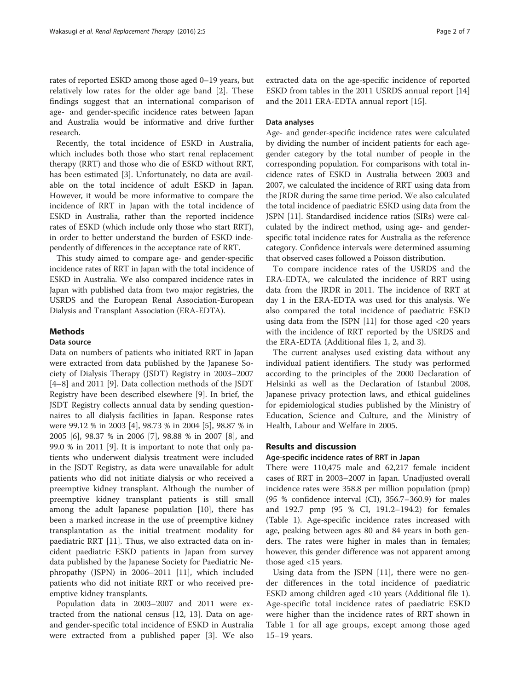rates of reported ESKD among those aged 0–19 years, but relatively low rates for the older age band [[2\]](#page-6-0). These findings suggest that an international comparison of age- and gender-specific incidence rates between Japan and Australia would be informative and drive further research.

Recently, the total incidence of ESKD in Australia, which includes both those who start renal replacement therapy (RRT) and those who die of ESKD without RRT, has been estimated [\[3](#page-6-0)]. Unfortunately, no data are available on the total incidence of adult ESKD in Japan. However, it would be more informative to compare the incidence of RRT in Japan with the total incidence of ESKD in Australia, rather than the reported incidence rates of ESKD (which include only those who start RRT), in order to better understand the burden of ESKD independently of differences in the acceptance rate of RRT.

This study aimed to compare age- and gender-specific incidence rates of RRT in Japan with the total incidence of ESKD in Australia. We also compared incidence rates in Japan with published data from two major registries, the USRDS and the European Renal Association-European Dialysis and Transplant Association (ERA-EDTA).

# Methods

## Data source

Data on numbers of patients who initiated RRT in Japan were extracted from data published by the Japanese Society of Dialysis Therapy (JSDT) Registry in 2003–2007 [[4](#page-6-0)–[8\]](#page-6-0) and 2011 [[9\]](#page-6-0). Data collection methods of the JSDT Registry have been described elsewhere [\[9\]](#page-6-0). In brief, the JSDT Registry collects annual data by sending questionnaires to all dialysis facilities in Japan. Response rates were 99.12 % in 2003 [\[4](#page-6-0)], 98.73 % in 2004 [[5\]](#page-6-0), 98.87 % in 2005 [\[6](#page-6-0)], 98.37 % in 2006 [\[7](#page-6-0)], 98.88 % in 2007 [\[8](#page-6-0)], and 99.0 % in 2011 [\[9](#page-6-0)]. It is important to note that only patients who underwent dialysis treatment were included in the JSDT Registry, as data were unavailable for adult patients who did not initiate dialysis or who received a preemptive kidney transplant. Although the number of preemptive kidney transplant patients is still small among the adult Japanese population [\[10](#page-6-0)], there has been a marked increase in the use of preemptive kidney transplantation as the initial treatment modality for paediatric RRT [[11\]](#page-6-0). Thus, we also extracted data on incident paediatric ESKD patients in Japan from survey data published by the Japanese Society for Paediatric Nephropathy (JSPN) in 2006–2011 [[11\]](#page-6-0), which included patients who did not initiate RRT or who received preemptive kidney transplants.

Population data in 2003–2007 and 2011 were extracted from the national census [[12, 13\]](#page-6-0). Data on ageand gender-specific total incidence of ESKD in Australia were extracted from a published paper [\[3](#page-6-0)]. We also

extracted data on the age-specific incidence of reported ESKD from tables in the 2011 USRDS annual report [[14](#page-6-0)] and the 2011 ERA-EDTA annual report [[15\]](#page-6-0).

# Data analyses

Age- and gender-specific incidence rates were calculated by dividing the number of incident patients for each agegender category by the total number of people in the corresponding population. For comparisons with total incidence rates of ESKD in Australia between 2003 and 2007, we calculated the incidence of RRT using data from the JRDR during the same time period. We also calculated the total incidence of paediatric ESKD using data from the JSPN [\[11\]](#page-6-0). Standardised incidence ratios (SIRs) were calculated by the indirect method, using age- and genderspecific total incidence rates for Australia as the reference category. Confidence intervals were determined assuming that observed cases followed a Poisson distribution.

To compare incidence rates of the USRDS and the ERA-EDTA, we calculated the incidence of RRT using data from the JRDR in 2011. The incidence of RRT at day 1 in the ERA-EDTA was used for this analysis. We also compared the total incidence of paediatric ESKD using data from the JSPN  $[11]$  for those aged  $\langle 20 \rangle$  years with the incidence of RRT reported by the USRDS and the ERA-EDTA (Additional files [1, 2,](#page-6-0) and [3\)](#page-6-0).

The current analyses used existing data without any individual patient identifiers. The study was performed according to the principles of the 2000 Declaration of Helsinki as well as the Declaration of Istanbul 2008, Japanese privacy protection laws, and ethical guidelines for epidemiological studies published by the Ministry of Education, Science and Culture, and the Ministry of Health, Labour and Welfare in 2005.

# Results and discussion

#### Age-specific incidence rates of RRT in Japan

There were 110,475 male and 62,217 female incident cases of RRT in 2003–2007 in Japan. Unadjusted overall incidence rates were 358.8 per million population (pmp) (95 % confidence interval (CI), 356.7–360.9) for males and 192.7 pmp (95 % CI, 191.2–194.2) for females (Table [1\)](#page-2-0). Age-specific incidence rates increased with age, peaking between ages 80 and 84 years in both genders. The rates were higher in males than in females; however, this gender difference was not apparent among those aged <15 years.

Using data from the JSPN [[11\]](#page-6-0), there were no gender differences in the total incidence of paediatric ESKD among children aged <10 years (Additional file [1](#page-6-0)). Age-specific total incidence rates of paediatric ESKD were higher than the incidence rates of RRT shown in Table [1](#page-2-0) for all age groups, except among those aged 15–19 years.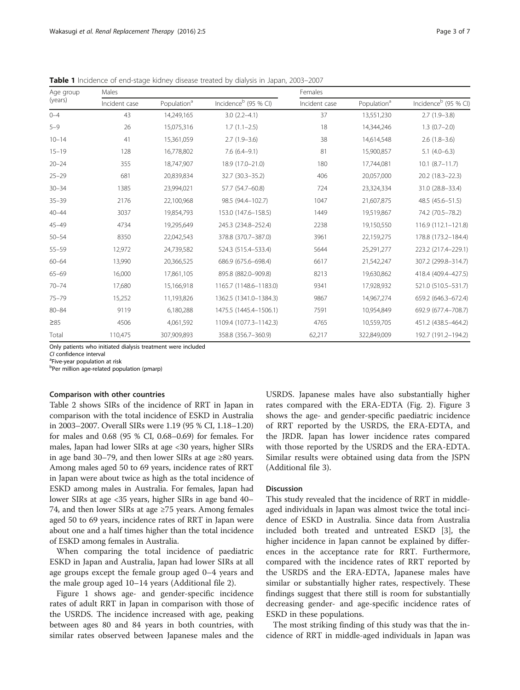| Age group<br>(years) | Males         |                         |                                  | Females       |                         |                                  |
|----------------------|---------------|-------------------------|----------------------------------|---------------|-------------------------|----------------------------------|
|                      | Incident case | Population <sup>a</sup> | Incidence <sup>b</sup> (95 % CI) | Incident case | Population <sup>a</sup> | Incidence <sup>b</sup> (95 % CI) |
| $0 - 4$              | 43            | 14,249,165              | $3.0(2.2 - 4.1)$                 | 37            | 13,551,230              | $2.7(1.9-3.8)$                   |
| $5 - 9$              | 26            | 15,075,316              | $1.7(1.1 - 2.5)$                 | 18            | 14,344,246              | $1.3(0.7 - 2.0)$                 |
| $10 - 14$            | 41            | 15,361,059              | $2.7(1.9-3.6)$                   | 38            | 14,614,548              | $2.6(1.8-3.6)$                   |
| $15 - 19$            | 128           | 16,778,802              | $7.6(6.4-9.1)$                   | 81            | 15,900,857              | $5.1(4.0-6.3)$                   |
| $20 - 24$            | 355           | 18,747,907              | 18.9 (17.0-21.0)                 | 180           | 17,744,081              | $10.1 (8.7 - 11.7)$              |
| $25 - 29$            | 681           | 20,839,834              | 32.7 (30.3-35.2)                 | 406           | 20,057,000              | 20.2 (18.3-22.3)                 |
| $30 - 34$            | 1385          | 23,994,021              | 57.7 (54.7-60.8)                 | 724           | 23,324,334              | 31.0 (28.8-33.4)                 |
| $35 - 39$            | 2176          | 22,100,968              | 98.5 (94.4-102.7)                | 1047          | 21,607,875              | 48.5 (45.6-51.5)                 |
| $40 - 44$            | 3037          | 19,854,793              | 153.0 (147.6-158.5)              | 1449          | 19,519,867              | 74.2 (70.5-78.2)                 |
| $45 - 49$            | 4734          | 19,295,649              | 245.3 (234.8-252.4)              | 2238          | 19,150,550              | 116.9 (112.1-121.8)              |
| $50 - 54$            | 8350          | 22,042,543              | 378.8 (370.7-387.0)              | 3961          | 22,159,275              | 178.8 (173.2-184.4)              |
| $55 - 59$            | 12,972        | 24,739,582              | 524.3 (515.4-533.4)              | 5644          | 25,291,277              | 223.2 (217.4-229.1)              |
| $60 - 64$            | 13,990        | 20,366,525              | 686.9 (675.6-698.4)              | 6617          | 21,542,247              | 307.2 (299.8-314.7)              |
| $65 - 69$            | 16,000        | 17,861,105              | 895.8 (882.0-909.8)              | 8213          | 19,630,862              | 418.4 (409.4-427.5)              |
| $70 - 74$            | 17,680        | 15,166,918              | 1165.7 (1148.6-1183.0)           | 9341          | 17,928,932              | 521.0 (510.5-531.7)              |
| $75 - 79$            | 15,252        | 11,193,826              | 1362.5 (1341.0-1384.3)           | 9867          | 14,967,274              | 659.2 (646.3-672.4)              |
| $80 - 84$            | 9119          | 6,180,288               | 1475.5 (1445.4-1506.1)           | 7591          | 10,954,849              | 692.9 (677.4-708.7)              |
| $\geq 85$            | 4506          | 4,061,592               | 1109.4 (1077.3-1142.3)           | 4765          | 10,559,705              | 451.2 (438.5-464.2)              |
| Total                | 110,475       | 307,909,893             | 358.8 (356.7-360.9)              | 62,217        | 322,849,009             | 192.7 (191.2-194.2)              |

<span id="page-2-0"></span>**Table 1** Incidence of end-stage kidney disease treated by dialysis in Japan, 2003–2007

Only patients who initiated dialysis treatment were included

CI confidence interval

<sup>a</sup>Five-year population at risk

<sup>b</sup>Per million age-related population (pmarp)

### Comparison with other countries

Table [2](#page-3-0) shows SIRs of the incidence of RRT in Japan in comparison with the total incidence of ESKD in Australia in 2003–2007. Overall SIRs were 1.19 (95 % CI, 1.18–1.20) for males and 0.68 (95 % CI, 0.68–0.69) for females. For males, Japan had lower SIRs at age <30 years, higher SIRs in age band 30–79, and then lower SIRs at age ≥80 years. Among males aged 50 to 69 years, incidence rates of RRT in Japan were about twice as high as the total incidence of ESKD among males in Australia. For females, Japan had lower SIRs at age <35 years, higher SIRs in age band 40– 74, and then lower SIRs at age ≥75 years. Among females aged 50 to 69 years, incidence rates of RRT in Japan were about one and a half times higher than the total incidence of ESKD among females in Australia.

When comparing the total incidence of paediatric ESKD in Japan and Australia, Japan had lower SIRs at all age groups except the female group aged 0–4 years and the male group aged 10–14 years (Additional file [2](#page-6-0)).

Figure [1](#page-3-0) shows age- and gender-specific incidence rates of adult RRT in Japan in comparison with those of the USRDS. The incidence increased with age, peaking between ages 80 and 84 years in both countries, with similar rates observed between Japanese males and the USRDS. Japanese males have also substantially higher rates compared with the ERA-EDTA (Fig. [2](#page-4-0)). Figure [3](#page-4-0) shows the age- and gender-specific paediatric incidence of RRT reported by the USRDS, the ERA-EDTA, and the JRDR. Japan has lower incidence rates compared with those reported by the USRDS and the ERA-EDTA. Similar results were obtained using data from the JSPN (Additional file [3](#page-6-0)).

# **Discussion**

This study revealed that the incidence of RRT in middleaged individuals in Japan was almost twice the total incidence of ESKD in Australia. Since data from Australia included both treated and untreated ESKD [[3\]](#page-6-0), the higher incidence in Japan cannot be explained by differences in the acceptance rate for RRT. Furthermore, compared with the incidence rates of RRT reported by the USRDS and the ERA-EDTA, Japanese males have similar or substantially higher rates, respectively. These findings suggest that there still is room for substantially decreasing gender- and age-specific incidence rates of ESKD in these populations.

The most striking finding of this study was that the incidence of RRT in middle-aged individuals in Japan was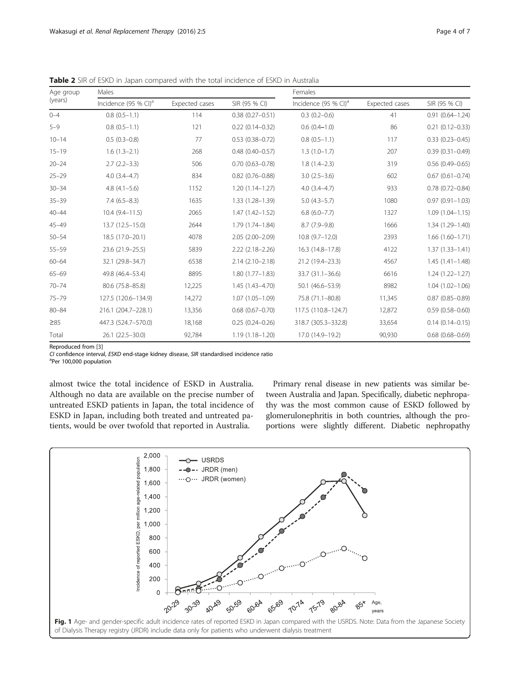| Age group<br>(years) | Males                            |                |                     | Females                          |                |                        |
|----------------------|----------------------------------|----------------|---------------------|----------------------------------|----------------|------------------------|
|                      | Incidence (95 % CI) <sup>a</sup> | Expected cases | SIR (95 % CI)       | Incidence (95 % CI) <sup>a</sup> | Expected cases | SIR (95 % CI)          |
| $0 - 4$              | $0.8(0.5-1.1)$                   | 114            | $0.38(0.27 - 0.51)$ | $0.3(0.2 - 0.6)$                 | 41             | $0.91(0.64 - 1.24)$    |
| $5 - 9$              | $0.8(0.5-1.1)$                   | 121            | $0.22(0.14 - 0.32)$ | $0.6(0.4-1.0)$                   | 86             | $0.21(0.12 - 0.33)$    |
| $10 - 14$            | $0.5(0.3-0.8)$                   | 77             | $0.53(0.38 - 0.72)$ | $0.8(0.5-1.1)$                   | 117            | $0.33(0.23 - 0.45)$    |
| $15 - 19$            | $1.6(1.3-2.1)$                   | 268            | $0.48(0.40 - 0.57)$ | $1.3(1.0-1.7)$                   | 207            | $0.39(0.31 - 0.49)$    |
| $20 - 24$            | $2.7(2.2-3.3)$                   | 506            | $0.70(0.63 - 0.78)$ | $1.8(1.4-2.3)$                   | 319            | $0.56$ (0.49-0.65)     |
| $25 - 29$            | $4.0(3.4-4.7)$                   | 834            | $0.82(0.76 - 0.88)$ | $3.0(2.5-3.6)$                   | 602            | $0.67$ $(0.61 - 0.74)$ |
| $30 - 34$            | $4.8(4.1 - 5.6)$                 | 1152           | $1.20(1.14 - 1.27)$ | $4.0(3.4 - 4.7)$                 | 933            | $0.78(0.72 - 0.84)$    |
| $35 - 39$            | $7.4(6.5-8.3)$                   | 1635           | 1.33 (1.28-1.39)    | $5.0(4.3-5.7)$                   | 1080           | $0.97(0.91 - 1.03)$    |
| $40 - 44$            | $10.4(9.4 - 11.5)$               | 2065           | $1.47(1.42 - 1.52)$ | $6.8(6.0 - 7.7)$                 | 1327           | $1.09(1.04 - 1.15)$    |
| $45 - 49$            | 13.7 (12.5-15.0)                 | 2644           | 1.79 (1.74-1.84)    | $8.7(7.9-9.8)$                   | 1666           | 1.34 (1.29-1.40)       |
| $50 - 54$            | 18.5 (17.0-20.1)                 | 4078           | $2.05(2.00 - 2.09)$ | $10.8(9.7-12.0)$                 | 2393           | $1.66(1.60 - 1.71)$    |
| $55 - 59$            | 23.6 (21.9-25.5)                 | 5839           | $2.22(2.18 - 2.26)$ | 16.3 (14.8-17.8)                 | 4122           | $1.37(1.33 - 1.41)$    |
| $60 - 64$            | 32.1 (29.8-34.7)                 | 6538           | $2.14(2.10 - 2.18)$ | 21.2 (19.4-23.3)                 | 4567           | $1.45(1.41 - 1.48)$    |
| $65 - 69$            | 49.8 (46.4-53.4)                 | 8895           | $1.80(1.77 - 1.83)$ | $33.7(31.1 - 36.6)$              | 6616           | $1.24(1.22 - 1.27)$    |
| $70 - 74$            | 80.6 (75.8-85.8)                 | 12,225         | $1.45(1.43 - 4.70)$ | 50.1 (46.6-53.9)                 | 8982           | $1.04(1.02 - 1.06)$    |
| $75 - 79$            | 127.5 (120.6-134.9)              | 14,272         | $1.07(1.05 - 1.09)$ | 75.8 (71.1-80.8)                 | 11,345         | $0.87(0.85 - 0.89)$    |
| $80 - 84$            | 216.1 (204.7-228.1)              | 13,356         | $0.68(0.67 - 0.70)$ | 117.5 (110.8-124.7)              | 12,872         | $0.59(0.58 - 0.60)$    |
| $\geq 85$            | 447.3 (524.7-570.0)              | 18,168         | $0.25(0.24 - 0.26)$ | 318.7 (305.3-332.8)              | 33,654         | $0.14(0.14 - 0.15)$    |
| Total                | 26.1 (22.5-30.0)                 | 92,784         | $1.19(1.18 - 1.20)$ | 17.0 (14.9-19.2)                 | 90,930         | $0.68$ $(0.68 - 0.69)$ |

<span id="page-3-0"></span>Table 2 SIR of ESKD in Japan compared with the total incidence of ESKD in Australia

Reproduced from [\[3\]](#page-6-0)

CI confidence interval, ESKD end-stage kidney disease, SIR standardised incidence ratio

<sup>a</sup>Per 100,000 population

almost twice the total incidence of ESKD in Australia. Although no data are available on the precise number of untreated ESKD patients in Japan, the total incidence of ESKD in Japan, including both treated and untreated patients, would be over twofold that reported in Australia.

Primary renal disease in new patients was similar between Australia and Japan. Specifically, diabetic nephropathy was the most common cause of ESKD followed by glomerulonephritis in both countries, although the proportions were slightly different. Diabetic nephropathy

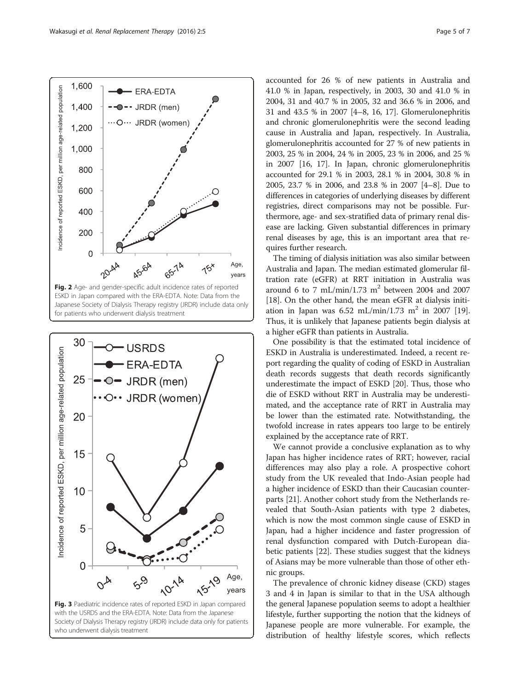<span id="page-4-0"></span>

Japanese Society of Dialysis Therapy registry (JRDR) include data only for patients who underwent dialysis treatment



accounted for 26 % of new patients in Australia and 41.0 % in Japan, respectively, in 2003, 30 and 41.0 % in 2004, 31 and 40.7 % in 2005, 32 and 36.6 % in 2006, and 31 and 43.5 % in 2007 [[4](#page-6-0)–[8](#page-6-0), [16, 17\]](#page-6-0). Glomerulonephritis and chronic glomerulonephritis were the second leading cause in Australia and Japan, respectively. In Australia, glomerulonephritis accounted for 27 % of new patients in 2003, 25 % in 2004, 24 % in 2005, 23 % in 2006, and 25 % in 2007 [[16](#page-6-0), [17\]](#page-6-0). In Japan, chronic glomerulonephritis accounted for 29.1 % in 2003, 28.1 % in 2004, 30.8 % in 2005, 23.7 % in 2006, and 23.8 % in 2007 [\[4](#page-6-0)–[8\]](#page-6-0). Due to differences in categories of underlying diseases by different registries, direct comparisons may not be possible. Furthermore, age- and sex-stratified data of primary renal disease are lacking. Given substantial differences in primary renal diseases by age, this is an important area that requires further research.

The timing of dialysis initiation was also similar between Australia and Japan. The median estimated glomerular filtration rate (eGFR) at RRT initiation in Australia was around 6 to 7 mL/min/1.73  $m^2$  between 2004 and 2007 [[18](#page-6-0)]. On the other hand, the mean eGFR at dialysis initiation in Japan was  $6.52 \text{ mL/min}/1.73 \text{ m}^2$  in 2007 [[19](#page-6-0)]. Thus, it is unlikely that Japanese patients begin dialysis at a higher eGFR than patients in Australia.

One possibility is that the estimated total incidence of ESKD in Australia is underestimated. Indeed, a recent report regarding the quality of coding of ESKD in Australian death records suggests that death records significantly underestimate the impact of ESKD [[20](#page-6-0)]. Thus, those who die of ESKD without RRT in Australia may be underestimated, and the acceptance rate of RRT in Australia may be lower than the estimated rate. Notwithstanding, the twofold increase in rates appears too large to be entirely explained by the acceptance rate of RRT.

We cannot provide a conclusive explanation as to why Japan has higher incidence rates of RRT; however, racial differences may also play a role. A prospective cohort study from the UK revealed that Indo-Asian people had a higher incidence of ESKD than their Caucasian counterparts [[21](#page-6-0)]. Another cohort study from the Netherlands revealed that South-Asian patients with type 2 diabetes, which is now the most common single cause of ESKD in Japan, had a higher incidence and faster progression of renal dysfunction compared with Dutch-European diabetic patients [\[22\]](#page-6-0). These studies suggest that the kidneys of Asians may be more vulnerable than those of other ethnic groups.

The prevalence of chronic kidney disease (CKD) stages 3 and 4 in Japan is similar to that in the USA although the general Japanese population seems to adopt a healthier lifestyle, further supporting the notion that the kidneys of Japanese people are more vulnerable. For example, the distribution of healthy lifestyle scores, which reflects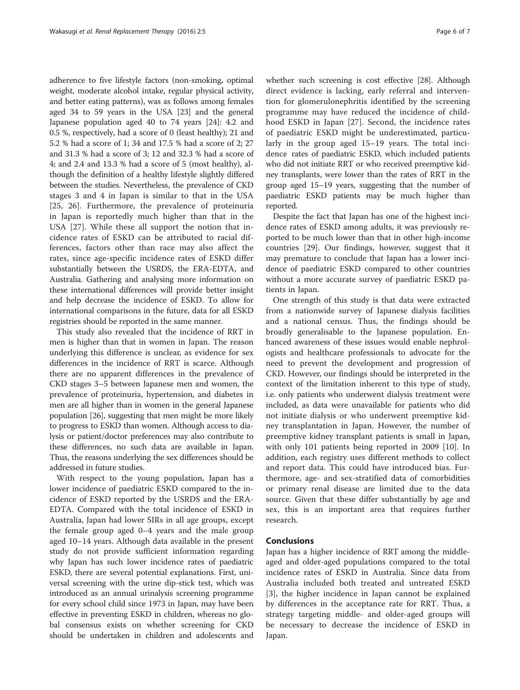adherence to five lifestyle factors (non-smoking, optimal weight, moderate alcohol intake, regular physical activity, and better eating patterns), was as follows among females aged 34 to 59 years in the USA [\[23\]](#page-6-0) and the general Japanese population aged 40 to 74 years [\[24\]](#page-6-0): 4.2 and 0.5 %, respectively, had a score of 0 (least healthy); 21 and 5.2 % had a score of 1; 34 and 17.5 % had a score of 2; 27 and 31.3 % had a score of 3; 12 and 32.3 % had a score of 4; and 2.4 and 13.3 % had a score of 5 (most healthy), although the definition of a healthy lifestyle slightly differed between the studies. Nevertheless, the prevalence of CKD stages 3 and 4 in Japan is similar to that in the USA [[25, 26](#page-6-0)]. Furthermore, the prevalence of proteinuria in Japan is reportedly much higher than that in the USA [[27\]](#page-6-0). While these all support the notion that incidence rates of ESKD can be attributed to racial differences, factors other than race may also affect the rates, since age-specific incidence rates of ESKD differ substantially between the USRDS, the ERA-EDTA, and Australia. Gathering and analysing more information on these international differences will provide better insight and help decrease the incidence of ESKD. To allow for international comparisons in the future, data for all ESKD registries should be reported in the same manner.

This study also revealed that the incidence of RRT in men is higher than that in women in Japan. The reason underlying this difference is unclear, as evidence for sex differences in the incidence of RRT is scarce. Although there are no apparent differences in the prevalence of CKD stages 3–5 between Japanese men and women, the prevalence of proteinuria, hypertension, and diabetes in men are all higher than in women in the general Japanese population [[26](#page-6-0)], suggesting that men might be more likely to progress to ESKD than women. Although access to dialysis or patient/doctor preferences may also contribute to these differences, no such data are available in Japan. Thus, the reasons underlying the sex differences should be addressed in future studies.

With respect to the young population, Japan has a lower incidence of paediatric ESKD compared to the incidence of ESKD reported by the USRDS and the ERA-EDTA. Compared with the total incidence of ESKD in Australia, Japan had lower SIRs in all age groups, except the female group aged 0–4 years and the male group aged 10–14 years. Although data available in the present study do not provide sufficient information regarding why Japan has such lower incidence rates of paediatric ESKD, there are several potential explanations. First, universal screening with the urine dip-stick test, which was introduced as an annual urinalysis screening programme for every school child since 1973 in Japan, may have been effective in preventing ESKD in children, whereas no global consensus exists on whether screening for CKD should be undertaken in children and adolescents and whether such screening is cost effective [\[28\]](#page-6-0). Although direct evidence is lacking, early referral and intervention for glomerulonephritis identified by the screening programme may have reduced the incidence of childhood ESKD in Japan [\[27](#page-6-0)]. Second, the incidence rates of paediatric ESKD might be underestimated, particularly in the group aged 15–19 years. The total incidence rates of paediatric ESKD, which included patients who did not initiate RRT or who received preemptive kidney transplants, were lower than the rates of RRT in the group aged 15–19 years, suggesting that the number of paediatric ESKD patients may be much higher than reported.

Despite the fact that Japan has one of the highest incidence rates of ESKD among adults, it was previously reported to be much lower than that in other high-income countries [\[29](#page-6-0)]. Our findings, however, suggest that it may premature to conclude that Japan has a lower incidence of paediatric ESKD compared to other countries without a more accurate survey of paediatric ESKD patients in Japan.

One strength of this study is that data were extracted from a nationwide survey of Japanese dialysis facilities and a national census. Thus, the findings should be broadly generalisable to the Japanese population. Enhanced awareness of these issues would enable nephrologists and healthcare professionals to advocate for the need to prevent the development and progression of CKD. However, our findings should be interpreted in the context of the limitation inherent to this type of study, i.e. only patients who underwent dialysis treatment were included, as data were unavailable for patients who did not initiate dialysis or who underwent preemptive kidney transplantation in Japan. However, the number of preemptive kidney transplant patients is small in Japan, with only 101 patients being reported in 2009 [\[10](#page-6-0)]. In addition, each registry uses different methods to collect and report data. This could have introduced bias. Furthermore, age- and sex-stratified data of comorbidities or primary renal disease are limited due to the data source. Given that these differ substantially by age and sex, this is an important area that requires further research.

# Conclusions

Japan has a higher incidence of RRT among the middleaged and older-aged populations compared to the total incidence rates of ESKD in Australia. Since data from Australia included both treated and untreated ESKD [[3\]](#page-6-0), the higher incidence in Japan cannot be explained by differences in the acceptance rate for RRT. Thus, a strategy targeting middle- and older-aged groups will be necessary to decrease the incidence of ESKD in Japan.